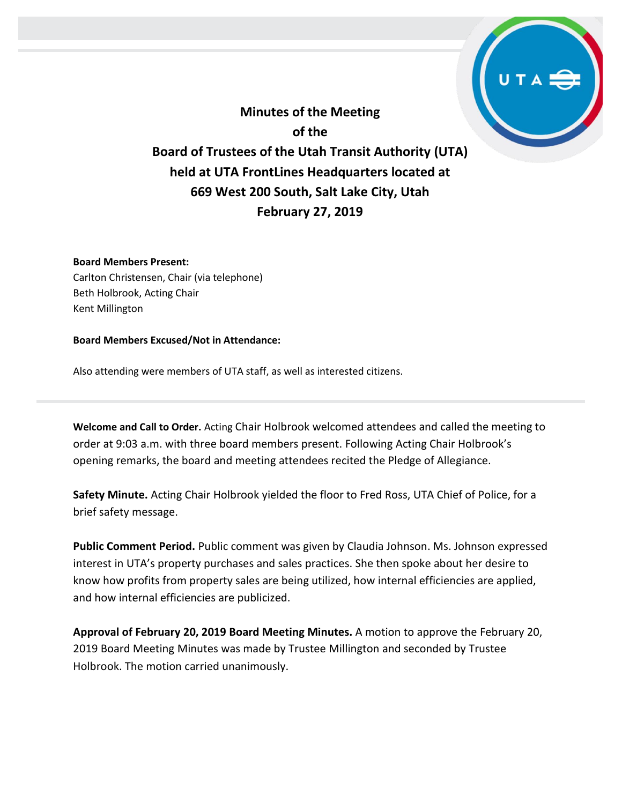**Minutes of the Meeting of the Board of Trustees of the Utah Transit Authority (UTA) held at UTA FrontLines Headquarters located at 669 West 200 South, Salt Lake City, Utah February 27, 2019**

#### **Board Members Present:**

Carlton Christensen, Chair (via telephone) Beth Holbrook, Acting Chair Kent Millington

#### **Board Members Excused/Not in Attendance:**

Also attending were members of UTA staff, as well as interested citizens.

**Welcome and Call to Order.** Acting Chair Holbrook welcomed attendees and called the meeting to order at 9:03 a.m. with three board members present. Following Acting Chair Holbrook's opening remarks, the board and meeting attendees recited the Pledge of Allegiance.

**Safety Minute.** Acting Chair Holbrook yielded the floor to Fred Ross, UTA Chief of Police, for a brief safety message.

**Public Comment Period.** Public comment was given by Claudia Johnson. Ms. Johnson expressed interest in UTA's property purchases and sales practices. She then spoke about her desire to know how profits from property sales are being utilized, how internal efficiencies are applied, and how internal efficiencies are publicized.

**Approval of February 20, 2019 Board Meeting Minutes.** A motion to approve the February 20, 2019 Board Meeting Minutes was made by Trustee Millington and seconded by Trustee Holbrook. The motion carried unanimously.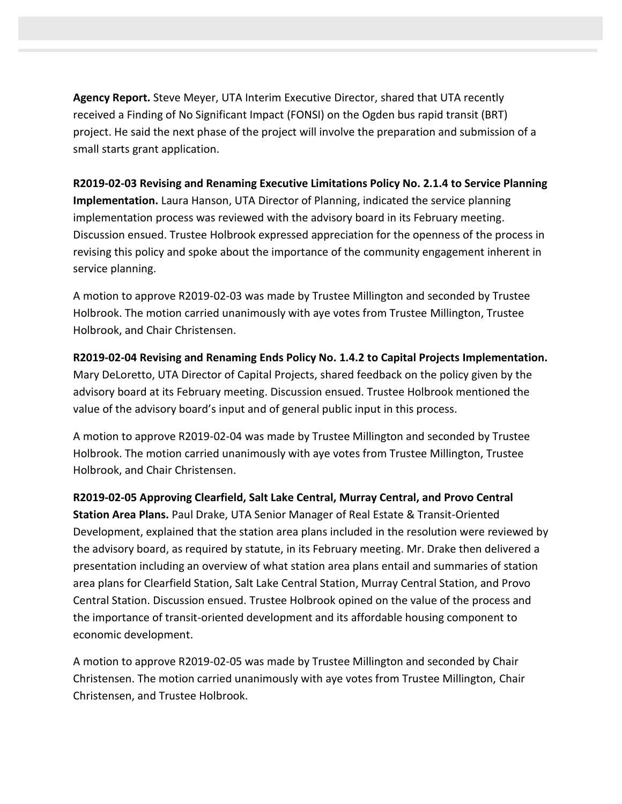**Agency Report.** Steve Meyer, UTA Interim Executive Director, shared that UTA recently received a Finding of No Significant Impact (FONSI) on the Ogden bus rapid transit (BRT) project. He said the next phase of the project will involve the preparation and submission of a small starts grant application.

**R2019-02-03 Revising and Renaming Executive Limitations Policy No. 2.1.4 to Service Planning Implementation.** Laura Hanson, UTA Director of Planning, indicated the service planning implementation process was reviewed with the advisory board in its February meeting. Discussion ensued. Trustee Holbrook expressed appreciation for the openness of the process in revising this policy and spoke about the importance of the community engagement inherent in service planning.

A motion to approve R2019-02-03 was made by Trustee Millington and seconded by Trustee Holbrook. The motion carried unanimously with aye votes from Trustee Millington, Trustee Holbrook, and Chair Christensen.

**R2019-02-04 Revising and Renaming Ends Policy No. 1.4.2 to Capital Projects Implementation.**  Mary DeLoretto, UTA Director of Capital Projects, shared feedback on the policy given by the advisory board at its February meeting. Discussion ensued. Trustee Holbrook mentioned the value of the advisory board's input and of general public input in this process.

A motion to approve R2019-02-04 was made by Trustee Millington and seconded by Trustee Holbrook. The motion carried unanimously with aye votes from Trustee Millington, Trustee Holbrook, and Chair Christensen.

**R2019-02-05 Approving Clearfield, Salt Lake Central, Murray Central, and Provo Central Station Area Plans.** Paul Drake, UTA Senior Manager of Real Estate & Transit-Oriented Development, explained that the station area plans included in the resolution were reviewed by the advisory board, as required by statute, in its February meeting. Mr. Drake then delivered a presentation including an overview of what station area plans entail and summaries of station area plans for Clearfield Station, Salt Lake Central Station, Murray Central Station, and Provo Central Station. Discussion ensued. Trustee Holbrook opined on the value of the process and the importance of transit-oriented development and its affordable housing component to economic development.

A motion to approve R2019-02-05 was made by Trustee Millington and seconded by Chair Christensen. The motion carried unanimously with aye votes from Trustee Millington, Chair Christensen, and Trustee Holbrook.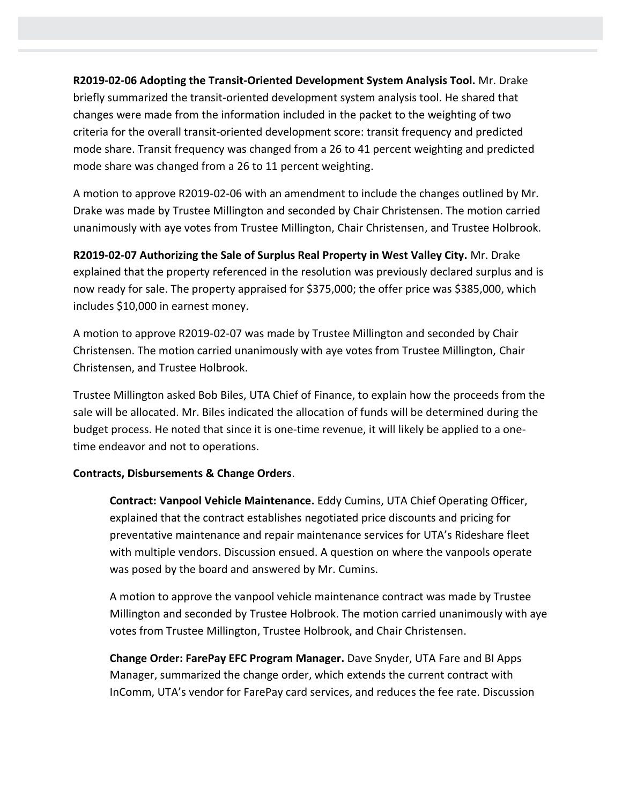**R2019-02-06 Adopting the Transit-Oriented Development System Analysis Tool.** Mr. Drake briefly summarized the transit-oriented development system analysis tool. He shared that changes were made from the information included in the packet to the weighting of two criteria for the overall transit-oriented development score: transit frequency and predicted mode share. Transit frequency was changed from a 26 to 41 percent weighting and predicted mode share was changed from a 26 to 11 percent weighting.

A motion to approve R2019-02-06 with an amendment to include the changes outlined by Mr. Drake was made by Trustee Millington and seconded by Chair Christensen. The motion carried unanimously with aye votes from Trustee Millington, Chair Christensen, and Trustee Holbrook.

**R2019-02-07 Authorizing the Sale of Surplus Real Property in West Valley City.** Mr. Drake explained that the property referenced in the resolution was previously declared surplus and is now ready for sale. The property appraised for \$375,000; the offer price was \$385,000, which includes \$10,000 in earnest money.

A motion to approve R2019-02-07 was made by Trustee Millington and seconded by Chair Christensen. The motion carried unanimously with aye votes from Trustee Millington, Chair Christensen, and Trustee Holbrook.

Trustee Millington asked Bob Biles, UTA Chief of Finance, to explain how the proceeds from the sale will be allocated. Mr. Biles indicated the allocation of funds will be determined during the budget process. He noted that since it is one-time revenue, it will likely be applied to a onetime endeavor and not to operations.

# **Contracts, Disbursements & Change Orders**.

**Contract: Vanpool Vehicle Maintenance.** Eddy Cumins, UTA Chief Operating Officer, explained that the contract establishes negotiated price discounts and pricing for preventative maintenance and repair maintenance services for UTA's Rideshare fleet with multiple vendors. Discussion ensued. A question on where the vanpools operate was posed by the board and answered by Mr. Cumins.

A motion to approve the vanpool vehicle maintenance contract was made by Trustee Millington and seconded by Trustee Holbrook. The motion carried unanimously with aye votes from Trustee Millington, Trustee Holbrook, and Chair Christensen.

**Change Order: FarePay EFC Program Manager.** Dave Snyder, UTA Fare and BI Apps Manager, summarized the change order, which extends the current contract with InComm, UTA's vendor for FarePay card services, and reduces the fee rate. Discussion